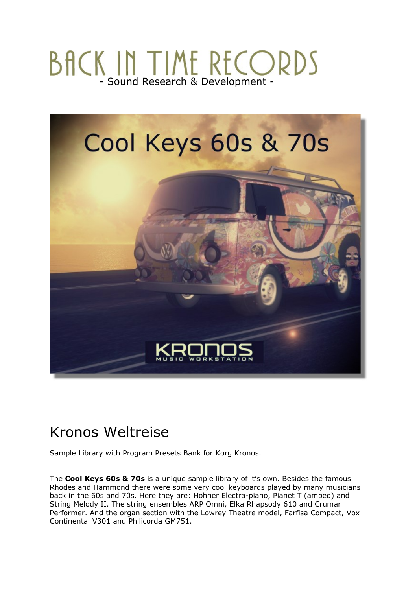# BACK IN TIME RECORDS



## Kronos Weltreise

Sample Library with Program Presets Bank for Korg Kronos.

The **Cool Keys 60s & 70s** is a unique sample library of it's own. Besides the famous Rhodes and Hammond there were some very cool keyboards played by many musicians back in the 60s and 70s. Here they are: Hohner Electra-piano, Pianet T (amped) and String Melody II. The string ensembles ARP Omni, Elka Rhapsody 610 and Crumar Performer. And the organ section with the Lowrey Theatre model, Farfisa Compact, Vox Continental V301 and Philicorda GM751.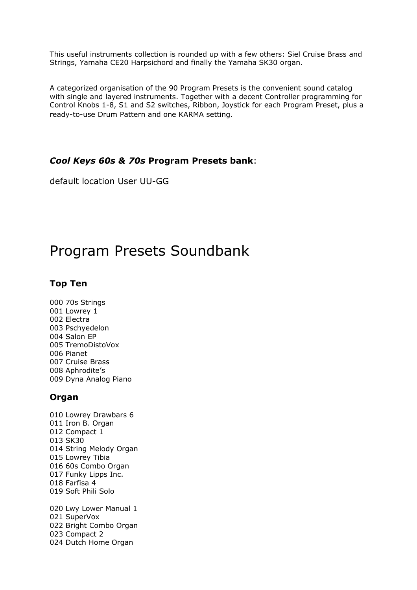This useful instruments collection is rounded up with a few others: Siel Cruise Brass and Strings, Yamaha CE20 Harpsichord and finally the Yamaha SK30 organ.

A categorized organisation of the 90 Program Presets is the convenient sound catalog with single and layered instruments. Together with a decent Controller programming for Control Knobs 1-8, S1 and S2 switches, Ribbon, Joystick for each Program Preset, plus a ready-to-use Drum Pattern and one KARMA setting.

#### *Cool Keys 60s & 70s* **Program Presets bank**:

default location User UU-GG

## Program Presets Soundbank

#### **Top Ten**

000 70s Strings 001 Lowrey 1 002 Electra 003 Pschyedelon 004 Salon EP 005 TremoDistoVox 006 Pianet 007 Cruise Brass 008 Aphrodite's 009 Dyna Analog Piano

#### **Organ**

- 010 Lowrey Drawbars 6 011 Iron B. Organ 012 Compact 1 013 SK30 014 String Melody Organ 015 Lowrey Tibia 016 60s Combo Organ 017 Funky Lipps Inc. 018 Farfisa 4 019 Soft Phili Solo 020 Lwy Lower Manual 1 021 SuperVox 022 Bright Combo Organ
- 023 Compact 2
- 024 Dutch Home Organ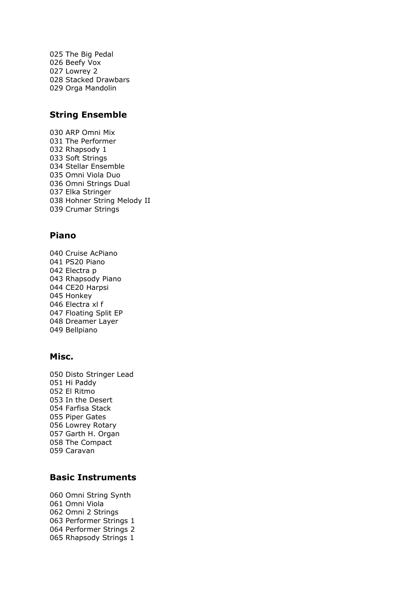025 The Big Pedal 026 Beefy Vox 027 Lowrey 2 028 Stacked Drawbars 029 Orga Mandolin

#### **String Ensemble**

030 ARP Omni Mix 031 The Performer 032 Rhapsody 1 033 Soft Strings 034 Stellar Ensemble 035 Omni Viola Duo 036 Omni Strings Dual 037 Elka Stringer 038 Hohner String Melody II 039 Crumar Strings

#### **Piano**

040 Cruise AcPiano 041 PS20 Piano 042 Electra p 043 Rhapsody Piano 044 CE20 Harpsi 045 Honkey 046 Electra xl f 047 Floating Split EP 048 Dreamer Layer 049 Bellpiano

#### **Misc.**

050 Disto Stringer Lead 051 Hi Paddy 052 El Ritmo 053 In the Desert 054 Farfisa Stack 055 Piper Gates 056 Lowrey Rotary 057 Garth H. Organ 058 The Compact 059 Caravan

#### **Basic Instruments**

060 Omni String Synth 061 Omni Viola 062 Omni 2 Strings 063 Performer Strings 1 064 Performer Strings 2 065 Rhapsody Strings 1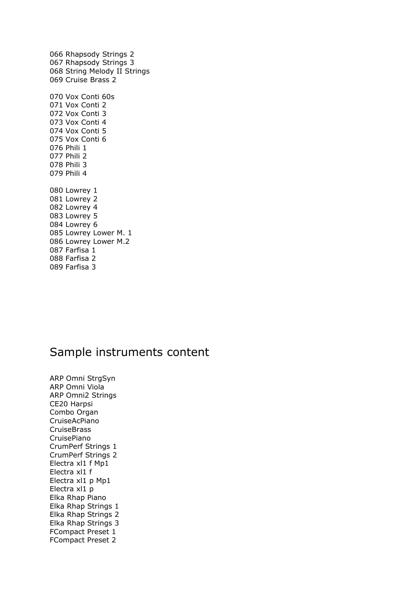066 Rhapsody Strings 2 067 Rhapsody Strings 3 068 String Melody II Strings 069 Cruise Brass 2 070 Vox Conti 60s 071 Vox Conti 2 072 Vox Conti 3 073 Vox Conti 4 074 Vox Conti 5 075 Vox Conti 6 076 Phili 1 077 Phili 2 078 Phili 3 079 Phili 4 080 Lowrey 1 081 Lowrey 2 082 Lowrey 4 083 Lowrey 5 084 Lowrey 6 085 Lowrey Lower M. 1 086 Lowrey Lower M.2 087 Farfisa 1 088 Farfisa 2 089 Farfisa 3

### Sample instruments content

ARP Omni StrgSyn ARP Omni Viola ARP Omni2 Strings CE20 Harpsi Combo Organ CruiseAcPiano CruiseBrass CruisePiano CrumPerf Strings 1 CrumPerf Strings 2 Electra xl1 f Mp1 Electra xl1 f Electra xl1 p Mp1 Electra xl1 p Elka Rhap Piano Elka Rhap Strings 1 Elka Rhap Strings 2 Elka Rhap Strings 3 FCompact Preset 1 FCompact Preset 2